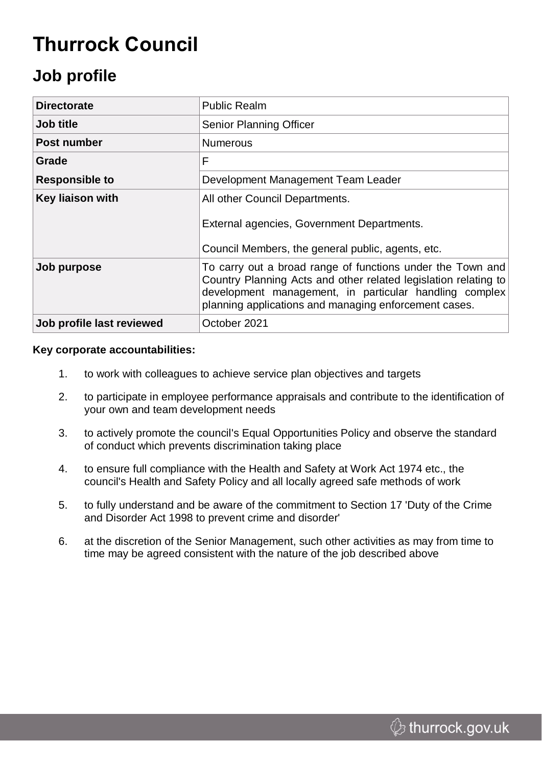# **Thurrock Council**

## **Job profile**

| <b>Directorate</b>        | <b>Public Realm</b>                                                                                                                                                                                                                              |
|---------------------------|--------------------------------------------------------------------------------------------------------------------------------------------------------------------------------------------------------------------------------------------------|
| Job title                 | Senior Planning Officer                                                                                                                                                                                                                          |
| Post number               | <b>Numerous</b>                                                                                                                                                                                                                                  |
| Grade                     | F                                                                                                                                                                                                                                                |
| <b>Responsible to</b>     | Development Management Team Leader                                                                                                                                                                                                               |
| <b>Key liaison with</b>   | All other Council Departments.                                                                                                                                                                                                                   |
|                           | External agencies, Government Departments.<br>Council Members, the general public, agents, etc.                                                                                                                                                  |
|                           |                                                                                                                                                                                                                                                  |
| Job purpose               | To carry out a broad range of functions under the Town and<br>Country Planning Acts and other related legislation relating to<br>development management, in particular handling complex<br>planning applications and managing enforcement cases. |
| Job profile last reviewed | October 2021                                                                                                                                                                                                                                     |

#### **Key corporate accountabilities:**

- 1. to work with colleagues to achieve service plan objectives and targets
- 2. to participate in employee performance appraisals and contribute to the identification of your own and team development needs
- 3. to actively promote the council's Equal Opportunities Policy and observe the standard of conduct which prevents discrimination taking place
- 4. to ensure full compliance with the Health and Safety at Work Act 1974 etc., the council's Health and Safety Policy and all locally agreed safe methods of work
- 5. to fully understand and be aware of the commitment to Section 17 'Duty of the Crime and Disorder Act 1998 to prevent crime and disorder'
- 6. at the discretion of the Senior Management, such other activities as may from time to time may be agreed consistent with the nature of the job described above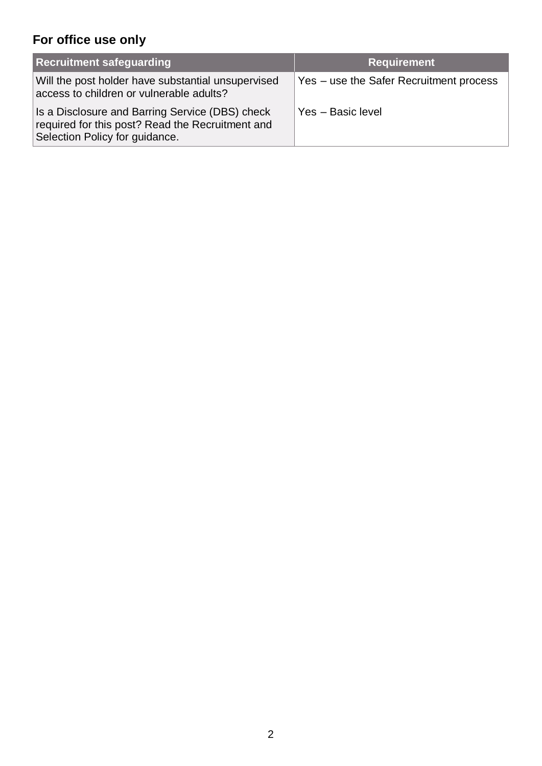### **For office use only**

| <b>Recruitment safeguarding</b>                                                                                                       | <b>Requirement</b>                      |
|---------------------------------------------------------------------------------------------------------------------------------------|-----------------------------------------|
| Will the post holder have substantial unsupervised<br>access to children or vulnerable adults?                                        | Yes – use the Safer Recruitment process |
| Is a Disclosure and Barring Service (DBS) check<br>required for this post? Read the Recruitment and<br>Selection Policy for guidance. | Yes - Basic level                       |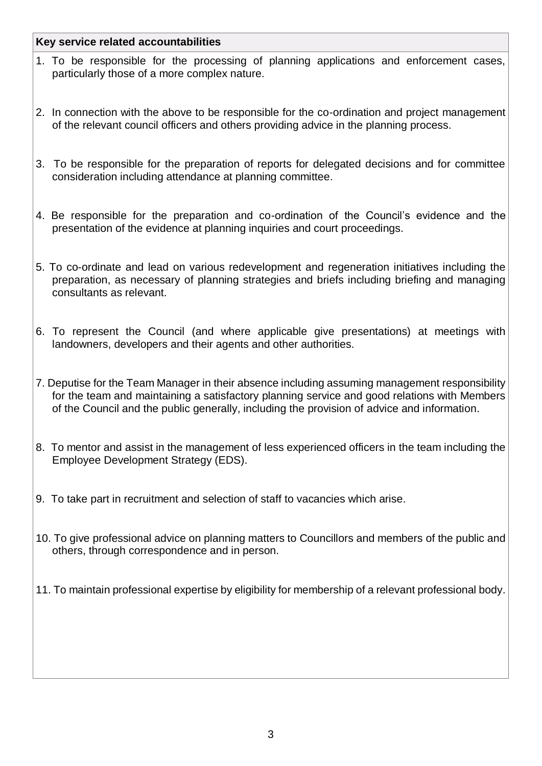#### **Key service related accountabilities**

- 1. To be responsible for the processing of planning applications and enforcement cases, particularly those of a more complex nature.
- 2. In connection with the above to be responsible for the co-ordination and project management of the relevant council officers and others providing advice in the planning process.
- 3. To be responsible for the preparation of reports for delegated decisions and for committee consideration including attendance at planning committee.
- 4. Be responsible for the preparation and co-ordination of the Council's evidence and the presentation of the evidence at planning inquiries and court proceedings.
- 5. To co-ordinate and lead on various redevelopment and regeneration initiatives including the preparation, as necessary of planning strategies and briefs including briefing and managing consultants as relevant.
- 6. To represent the Council (and where applicable give presentations) at meetings with landowners, developers and their agents and other authorities.
- 7. Deputise for the Team Manager in their absence including assuming management responsibility for the team and maintaining a satisfactory planning service and good relations with Members of the Council and the public generally, including the provision of advice and information.
- 8. To mentor and assist in the management of less experienced officers in the team including the Employee Development Strategy (EDS).
- 9. To take part in recruitment and selection of staff to vacancies which arise.
- 10. To give professional advice on planning matters to Councillors and members of the public and others, through correspondence and in person.
- 11. To maintain professional expertise by eligibility for membership of a relevant professional body.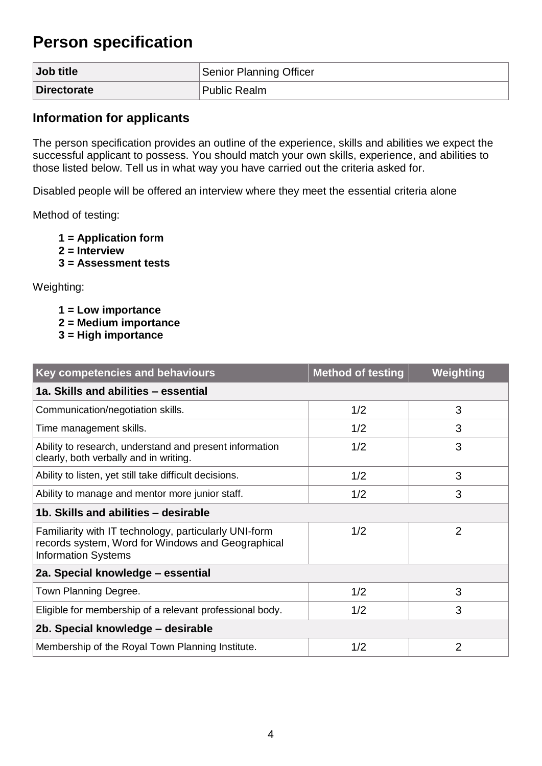### **Person specification**

| Job title          | Senior Planning Officer |
|--------------------|-------------------------|
| <b>Directorate</b> | Public Realm            |

#### **Information for applicants**

The person specification provides an outline of the experience, skills and abilities we expect the successful applicant to possess. You should match your own skills, experience, and abilities to those listed below. Tell us in what way you have carried out the criteria asked for.

Disabled people will be offered an interview where they meet the essential criteria alone

Method of testing:

- **1 = Application form**
- **2 = Interview**
- **3 = Assessment tests**

Weighting:

- **1 = Low importance**
- **2 = Medium importance**
- **3 = High importance**

| <b>Key competencies and behaviours</b>                                                                                                   | <b>Method of testing</b> | Weighting      |  |  |
|------------------------------------------------------------------------------------------------------------------------------------------|--------------------------|----------------|--|--|
| 1a. Skills and abilities - essential                                                                                                     |                          |                |  |  |
| Communication/negotiation skills.                                                                                                        | 1/2                      | 3              |  |  |
| Time management skills.                                                                                                                  | 1/2                      | 3              |  |  |
| Ability to research, understand and present information<br>clearly, both verbally and in writing.                                        | 1/2                      | 3              |  |  |
| Ability to listen, yet still take difficult decisions.                                                                                   | 1/2                      | 3              |  |  |
| Ability to manage and mentor more junior staff.                                                                                          | 1/2                      | 3              |  |  |
| 1b. Skills and abilities - desirable                                                                                                     |                          |                |  |  |
| Familiarity with IT technology, particularly UNI-form<br>records system, Word for Windows and Geographical<br><b>Information Systems</b> | 1/2                      | $\overline{2}$ |  |  |
| 2a. Special knowledge - essential                                                                                                        |                          |                |  |  |
| Town Planning Degree.                                                                                                                    | 1/2                      | 3              |  |  |
| Eligible for membership of a relevant professional body.                                                                                 | 1/2                      | 3              |  |  |
| 2b. Special knowledge - desirable                                                                                                        |                          |                |  |  |
| Membership of the Royal Town Planning Institute.                                                                                         | 1/2                      | $\overline{2}$ |  |  |